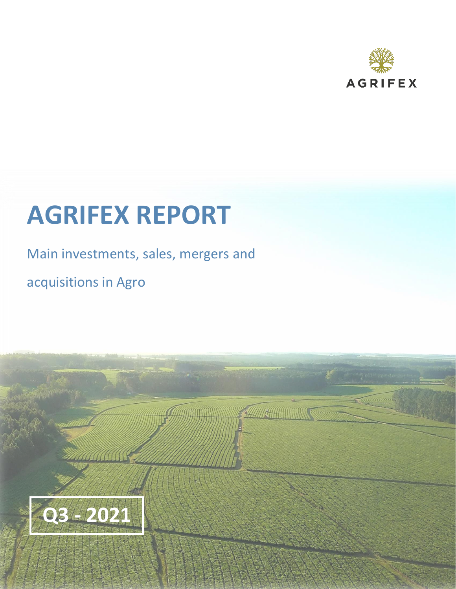

# **AGRIFEX REPORT**

# Main investments, sales, mergers and

The Company of the Company of the Company of the Company of the Company of The Company of

acquisitions in Agro

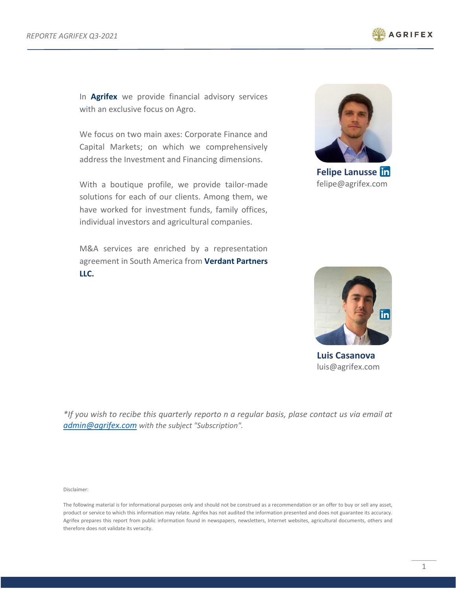

In **Agrifex** we provide financial advisory services with an exclusive focus on Agro.

We focus on two main axes: Corporate Finance and Capital Markets; on which we comprehensively address the Investment and Financing dimensions.

With a boutique profile, we provide tailor-made solutions for each of our clients. Among them, we have worked for investment funds, family offices, individual investors and agricultural companies.

M&A services are enriched by a representation agreement in South America from **Verdant Partners LLC.**



**Felipe Lanusse** felipe@agrifex.com



**Luis Casanova** luis@agrifex.com

*\*If you wish to recibe this quarterly reporto n a regular basis, plase contact us via email at [admin@agrifex.com](mailto:admin@agrifex.com) with the subject "Subscription".*

Disclaimer:

The following material is for informational purposes only and should not be construed as a recommendation or an offer to buy or sell any asset, product or service to which this information may relate. Agrifex has not audited the information presented and does not guarantee its accuracy. Agrifex prepares this report from public information found in newspapers, newsletters, Internet websites, agricultural documents, others and therefore does not validate its veracity.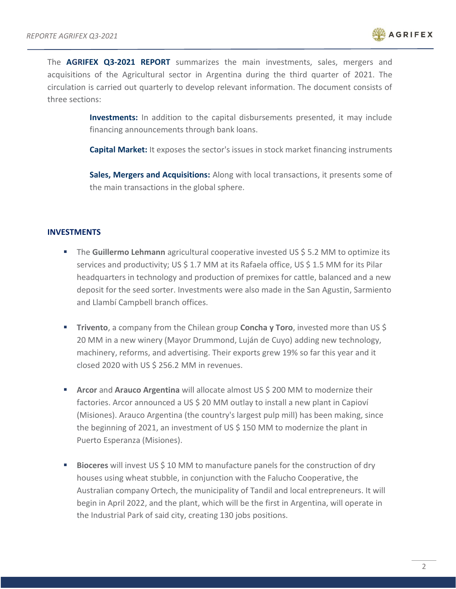

The **AGRIFEX Q3-2021 REPORT** summarizes the main investments, sales, mergers and acquisitions of the Agricultural sector in Argentina during the third quarter of 2021. The circulation is carried out quarterly to develop relevant information. The document consists of three sections:

> **Investments:** In addition to the capital disbursements presented, it may include financing announcements through bank loans.

> **Capital Market:** It exposes the sector's issues in stock market financing instruments

**Sales, Mergers and Acquisitions:** Along with local transactions, it presents some of the main transactions in the global sphere.

#### **INVESTMENTS**

- The **Guillermo Lehmann** agricultural cooperative invested US \$5.2 MM to optimize its services and productivity; US \$ 1.7 MM at its Rafaela office, US \$ 1.5 MM for its Pilar headquarters in technology and production of premixes for cattle, balanced and a new deposit for the seed sorter. Investments were also made in the San Agustin, Sarmiento and Llambí Campbell branch offices.
- **Trivento**, a company from the Chilean group **Concha y Toro**, invested more than US \$ 20 MM in a new winery (Mayor Drummond, Luján de Cuyo) adding new technology, machinery, reforms, and advertising. Their exports grew 19% so far this year and it closed 2020 with US \$ 256.2 MM in revenues.
- **E** Arcor and Arauco Argentina will allocate almost US \$ 200 MM to modernize their factories. Arcor announced a US \$ 20 MM outlay to install a new plant in Capioví (Misiones). Arauco Argentina (the country's largest pulp mill) has been making, since the beginning of 2021, an investment of US \$ 150 MM to modernize the plant in Puerto Esperanza (Misiones).
- **Bioceres** will invest US \$ 10 MM to manufacture panels for the construction of dry houses using wheat stubble, in conjunction with the Falucho Cooperative, the Australian company Ortech, the municipality of Tandil and local entrepreneurs. It will begin in April 2022, and the plant, which will be the first in Argentina, will operate in the Industrial Park of said city, creating 130 jobs positions.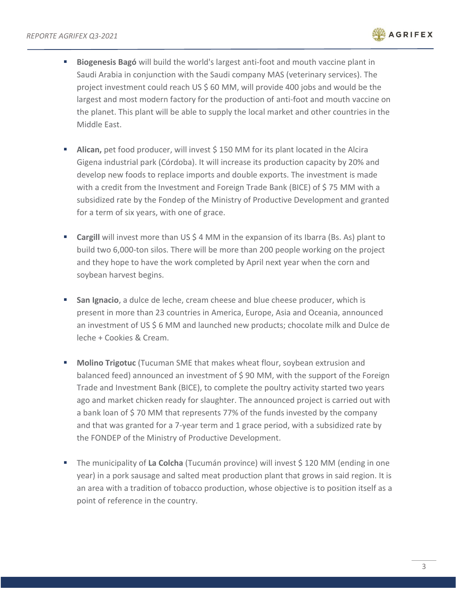

- **Biogenesis Bagó** will build the world's largest anti-foot and mouth vaccine plant in Saudi Arabia in conjunction with the Saudi company MAS (veterinary services). The project investment could reach US \$ 60 MM, will provide 400 jobs and would be the largest and most modern factory for the production of anti-foot and mouth vaccine on the planet. This plant will be able to supply the local market and other countries in the Middle East.
- Alican, pet food producer, will invest \$ 150 MM for its plant located in the Alcira Gigena industrial park (Córdoba). It will increase its production capacity by 20% and develop new foods to replace imports and double exports. The investment is made with a credit from the Investment and Foreign Trade Bank (BICE) of \$ 75 MM with a subsidized rate by the Fondep of the Ministry of Productive Development and granted for a term of six years, with one of grace.
- **Cargill** will invest more than US \$ 4 MM in the expansion of its Ibarra (Bs. As) plant to build two 6,000-ton silos. There will be more than 200 people working on the project and they hope to have the work completed by April next year when the corn and soybean harvest begins.
- **San Ignacio**, a dulce de leche, cream cheese and blue cheese producer, which is present in more than 23 countries in America, Europe, Asia and Oceania, announced an investment of US \$ 6 MM and launched new products; chocolate milk and Dulce de leche + Cookies & Cream.
- **Molino Trigotuc** (Tucuman SME that makes wheat flour, soybean extrusion and balanced feed) announced an investment of \$ 90 MM, with the support of the Foreign Trade and Investment Bank (BICE), to complete the poultry activity started two years ago and market chicken ready for slaughter. The announced project is carried out with a bank loan of \$70 MM that represents 77% of the funds invested by the company and that was granted for a 7-year term and 1 grace period, with a subsidized rate by the FONDEP of the Ministry of Productive Development.
- The municipality of **La Colcha** (Tucumán province) will invest \$120 MM (ending in one year) in a pork sausage and salted meat production plant that grows in said region. It is an area with a tradition of tobacco production, whose objective is to position itself as a point of reference in the country.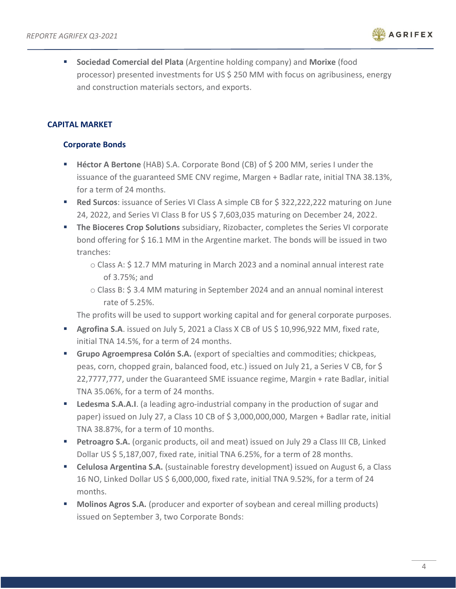

▪ **Sociedad Comercial del Plata** (Argentine holding company) and **Morixe** (food processor) presented investments for US \$ 250 MM with focus on agribusiness, energy and construction materials sectors, and exports.

# **CAPITAL MARKET**

## **Corporate Bonds**

- **Héctor A Bertone** (HAB) S.A. Corporate Bond (CB) of \$ 200 MM, series I under the issuance of the guaranteed SME CNV regime, Margen + Badlar rate, initial TNA 38.13%, for a term of 24 months.
- **Red Surcos**: issuance of Series VI Class A simple CB for \$ 322,222,222 maturing on June 24, 2022, and Series VI Class B for US \$ 7,603,035 maturing on December 24, 2022.
- **The Bioceres Crop Solutions** subsidiary, Rizobacter, completes the Series VI corporate bond offering for \$ 16.1 MM in the Argentine market. The bonds will be issued in two tranches:
	- o Class A: \$ 12.7 MM maturing in March 2023 and a nominal annual interest rate of 3.75%; and
	- o Class B: \$ 3.4 MM maturing in September 2024 and an annual nominal interest rate of 5.25%.

The profits will be used to support working capital and for general corporate purposes.

- **E** Agrofina S.A. issued on July 5, 2021 a Class X CB of US \$ 10,996,922 MM, fixed rate, initial TNA 14.5%, for a term of 24 months.
- **Grupo Agroempresa Colón S.A.** (export of specialties and commodities; chickpeas, peas, corn, chopped grain, balanced food, etc.) issued on July 21, a Series V CB, for \$ 22,7777,777, under the Guaranteed SME issuance regime, Margin + rate Badlar, initial TNA 35.06%, for a term of 24 months.
- **EXEDEDMIC STA.A.I.** (a leading agro-industrial company in the production of sugar and paper) issued on July 27, a Class 10 CB of \$ 3,000,000,000, Margen + Badlar rate, initial TNA 38.87%, for a term of 10 months.
- **Petroagro S.A.** (organic products, oil and meat) issued on July 29 a Class III CB, Linked Dollar US \$ 5,187,007, fixed rate, initial TNA 6.25%, for a term of 28 months.
- **Celulosa Argentina S.A.** (sustainable forestry development) issued on August 6, a Class 16 NO, Linked Dollar US \$ 6,000,000, fixed rate, initial TNA 9.52%, for a term of 24 months.
- **Molinos Agros S.A.** (producer and exporter of soybean and cereal milling products) issued on September 3, two Corporate Bonds: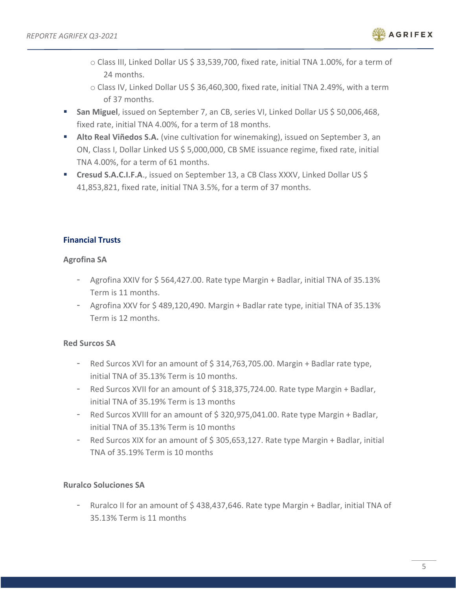

- o Class III, Linked Dollar US \$ 33,539,700, fixed rate, initial TNA 1.00%, for a term of 24 months.
- o Class IV, Linked Dollar US \$ 36,460,300, fixed rate, initial TNA 2.49%, with a term of 37 months.
- **San Miguel**, issued on September 7, an CB, series VI, Linked Dollar US \$ 50,006,468, fixed rate, initial TNA 4.00%, for a term of 18 months.
- **Alto Real Viñedos S.A.** (vine cultivation for winemaking), issued on September 3, an ON, Class I, Dollar Linked US \$ 5,000,000, CB SME issuance regime, fixed rate, initial TNA 4.00%, for a term of 61 months.
- **Cresud S.A.C.I.F.A.**, issued on September 13, a CB Class XXXV, Linked Dollar US \$ 41,853,821, fixed rate, initial TNA 3.5%, for a term of 37 months.

# **Financial Trusts**

#### **Agrofina SA**

- Agrofina XXIV for \$ 564,427.00. Rate type Margin + Badlar, initial TNA of 35.13% Term is 11 months.
- Agrofina XXV for  $$489,120,490$ . Margin + Badlar rate type, initial TNA of 35.13% Term is 12 months.

# **Red Surcos SA**

- Red Surcos XVI for an amount of \$314,763,705.00. Margin + Badlar rate type, initial TNA of 35.13% Term is 10 months.
- Red Surcos XVII for an amount of \$318,375,724.00. Rate type Margin + Badlar, initial TNA of 35.19% Term is 13 months
- Red Surcos XVIII for an amount of \$320,975,041.00. Rate type Margin + Badlar, initial TNA of 35.13% Term is 10 months
- Red Surcos XIX for an amount of \$ 305,653,127. Rate type Margin + Badlar, initial TNA of 35.19% Term is 10 months

# **Ruralco Soluciones SA**

- Ruralco II for an amount of \$ 438,437,646. Rate type Margin + Badlar, initial TNA of 35.13% Term is 11 months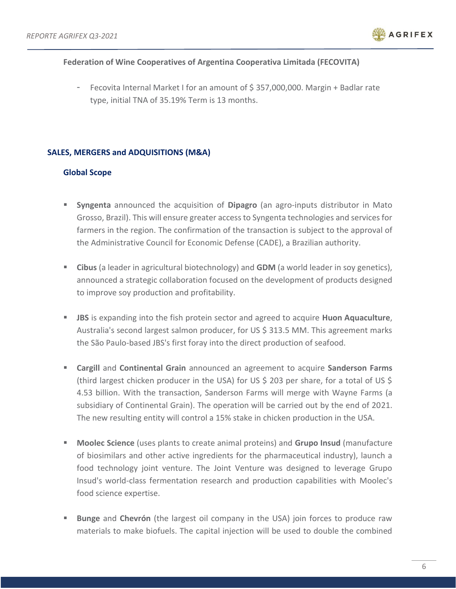

#### **Federation of Wine Cooperatives of Argentina Cooperativa Limitada (FECOVITA)**

Fecovita Internal Market I for an amount of \$357,000,000. Margin + Badlar rate type, initial TNA of 35.19% Term is 13 months.

#### **SALES, MERGERS and ADQUISITIONS (M&A)**

#### **Global Scope**

- **Syngenta** announced the acquisition of **Dipagro** (an agro-inputs distributor in Mato Grosso, Brazil). This will ensure greater access to Syngenta technologies and services for farmers in the region. The confirmation of the transaction is subject to the approval of the Administrative Council for Economic Defense (CADE), a Brazilian authority.
- **Cibus** (a leader in agricultural biotechnology) and **GDM** (a world leader in soy genetics), announced a strategic collaboration focused on the development of products designed to improve soy production and profitability.
- **EXECT** JBS is expanding into the fish protein sector and agreed to acquire **Huon Aquaculture**, Australia's second largest salmon producer, for US \$ 313.5 MM. This agreement marks the São Paulo-based JBS's first foray into the direct production of seafood.
- **Cargill** and **Continental Grain** announced an agreement to acquire **Sanderson Farms** (third largest chicken producer in the USA) for US \$ 203 per share, for a total of US \$ 4.53 billion. With the transaction, Sanderson Farms will merge with Wayne Farms (a subsidiary of Continental Grain). The operation will be carried out by the end of 2021. The new resulting entity will control a 15% stake in chicken production in the USA.
- **Moolec Science** (uses plants to create animal proteins) and **Grupo Insud** (manufacture of biosimilars and other active ingredients for the pharmaceutical industry), launch a food technology joint venture. The Joint Venture was designed to leverage Grupo Insud's world-class fermentation research and production capabilities with Moolec's food science expertise.
- **Examplee and Chevrón** (the largest oil company in the USA) join forces to produce raw materials to make biofuels. The capital injection will be used to double the combined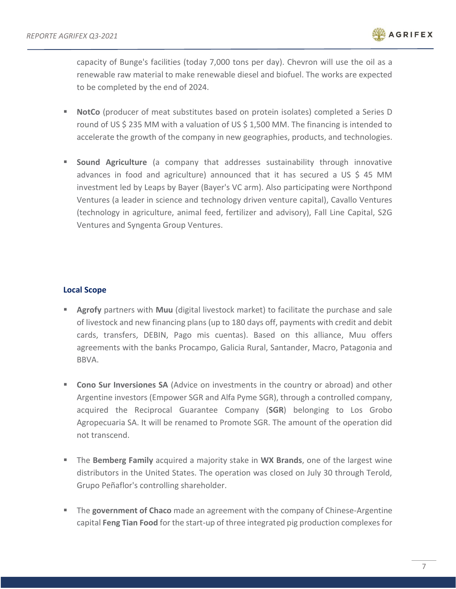capacity of Bunge's facilities (today 7,000 tons per day). Chevron will use the oil as a renewable raw material to make renewable diesel and biofuel. The works are expected to be completed by the end of 2024.

- **NotCo** (producer of meat substitutes based on protein isolates) completed a Series D round of US \$ 235 MM with a valuation of US \$ 1,500 MM. The financing is intended to accelerate the growth of the company in new geographies, products, and technologies.
- **E** Sound Agriculture (a company that addresses sustainability through innovative advances in food and agriculture) announced that it has secured a US \$ 45 MM investment led by Leaps by Bayer (Bayer's VC arm). Also participating were Northpond Ventures (a leader in science and technology driven venture capital), Cavallo Ventures (technology in agriculture, animal feed, fertilizer and advisory), Fall Line Capital, S2G Ventures and Syngenta Group Ventures.

## **Local Scope**

- **EXED** Agrofy partners with Muu (digital livestock market) to facilitate the purchase and sale of livestock and new financing plans (up to 180 days off, payments with credit and debit cards, transfers, DEBIN, Pago mis cuentas). Based on this alliance, Muu offers agreements with the banks Procampo, Galicia Rural, Santander, Macro, Patagonia and BBVA.
- **EXCORD Sur Inversiones SA** (Advice on investments in the country or abroad) and other Argentine investors (Empower SGR and Alfa Pyme SGR), through a controlled company, acquired the Reciprocal Guarantee Company (**SGR**) belonging to Los Grobo Agropecuaria SA. It will be renamed to Promote SGR. The amount of the operation did not transcend.
- **EXT** The **Bemberg Family** acquired a majority stake in **WX Brands**, one of the largest wine distributors in the United States. The operation was closed on July 30 through Terold, Grupo Peñaflor's controlling shareholder.
- **EXP** The government of Chaco made an agreement with the company of Chinese-Argentine capital **Feng Tian Food** for the start-up of three integrated pig production complexes for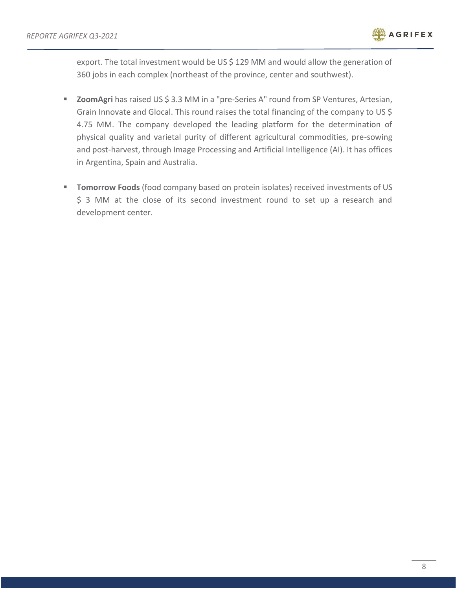

export. The total investment would be US \$ 129 MM and would allow the generation of 360 jobs in each complex (northeast of the province, center and southwest).

- **ZoomAgri** has raised US \$ 3.3 MM in a "pre-Series A" round from SP Ventures, Artesian, Grain Innovate and Glocal. This round raises the total financing of the company to US \$ 4.75 MM. The company developed the leading platform for the determination of physical quality and varietal purity of different agricultural commodities, pre-sowing and post-harvest, through Image Processing and Artificial Intelligence (AI). It has offices in Argentina, Spain and Australia.
- **Tomorrow Foods** (food company based on protein isolates) received investments of US \$ 3 MM at the close of its second investment round to set up a research and development center.